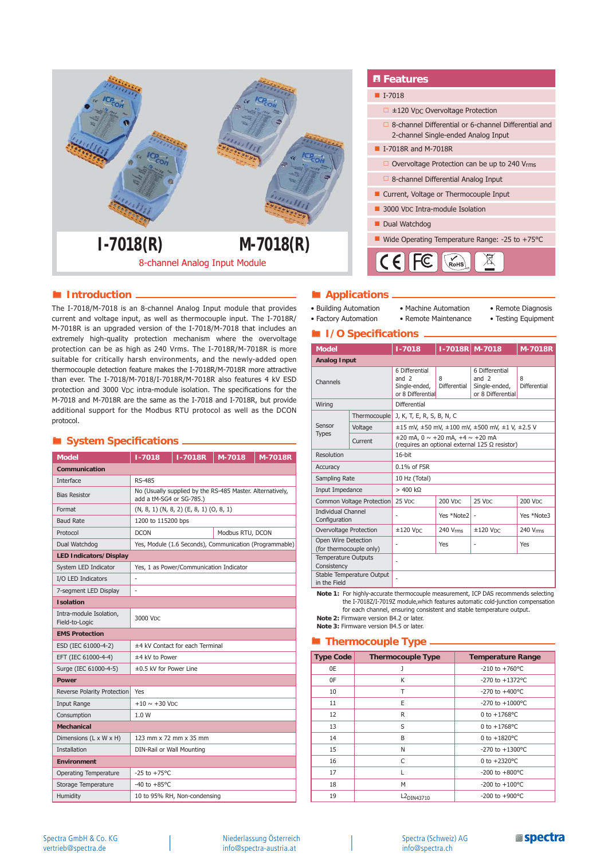

# **Introduction** *Applications*

The I-7018/M-7018 is an 8-channel Analog Input module that provides current and voltage input, as well as thermocouple input. The I-7018R/ M-7018R is an upgraded version of the I-7018/M-7018 that includes an extremely high-quality protection mechanism where the overvoltage protection can be as high as 240 Vrms. The I-7018R/M-7018R is more suitable for critically harsh environments, and the newly-added open thermocouple detection feature makes the I-7018R/M-7018R more attractive than ever. The I-7018/M-7018/I-7018R/M-7018R also features 4 kV ESD protection and 3000 VDC intra-module isolation. The specifications for the M-7018 and M-7018R are the same as the I-7018 and I-7018R, but provide additional support for the Modbus RTU protocol as well as the DCON protocol.

# **System Specifications** \_\_\_\_\_\_\_\_\_\_\_\_\_

| <b>Model</b>                              | $1 - 7018$                                                                            | <b>I-7018R</b>                          | M-7018 | M-7018R |
|-------------------------------------------|---------------------------------------------------------------------------------------|-----------------------------------------|--------|---------|
| Communication                             |                                                                                       |                                         |        |         |
| Interface                                 | <b>RS-485</b>                                                                         |                                         |        |         |
| <b>Bias Resistor</b>                      | No (Usually supplied by the RS-485 Master. Alternatively,<br>add a tM-SG4 or SG-785.) |                                         |        |         |
| Format                                    | $(N, 8, 1)$ $(N, 8, 2)$ $(E, 8, 1)$ $(O, 8, 1)$                                       |                                         |        |         |
| <b>Baud Rate</b>                          | 1200 to 115200 bps                                                                    |                                         |        |         |
| Protocol                                  | <b>DCON</b><br>Modbus RTU, DCON                                                       |                                         |        |         |
| Dual Watchdog                             | Yes, Module (1.6 Seconds), Communication (Programmable)                               |                                         |        |         |
| <b>LED Indicators/Display</b>             |                                                                                       |                                         |        |         |
| System LED Indicator                      |                                                                                       | Yes, 1 as Power/Communication Indicator |        |         |
| I/O LED Indicators                        | ä,                                                                                    |                                         |        |         |
| 7-segment LED Display                     |                                                                                       |                                         |        |         |
| <b>Isolation</b>                          |                                                                                       |                                         |        |         |
| Intra-module Isolation,<br>Field-to-Logic | 3000 Vpc                                                                              |                                         |        |         |
| <b>EMS Protection</b>                     |                                                                                       |                                         |        |         |
| ESD (IEC 61000-4-2)                       | ±4 kV Contact for each Terminal                                                       |                                         |        |         |
| EFT (IEC 61000-4-4)                       | ±4 kV to Power                                                                        |                                         |        |         |
| Surge (IEC 61000-4-5)                     | ±0.5 kV for Power Line                                                                |                                         |        |         |
| <b>Power</b>                              |                                                                                       |                                         |        |         |
| Reverse Polarity Protection               | Yes                                                                                   |                                         |        |         |
| <b>Input Range</b>                        | $+10 \sim +30$ V <sub>DC</sub>                                                        |                                         |        |         |
| Consumption                               | 1.0 W                                                                                 |                                         |        |         |
| <b>Mechanical</b>                         |                                                                                       |                                         |        |         |
| Dimensions (L x W x H)                    | 123 mm x 72 mm x 35 mm                                                                |                                         |        |         |
| <b>Installation</b>                       | DIN-Rail or Wall Mounting                                                             |                                         |        |         |
| <b>Environment</b>                        |                                                                                       |                                         |        |         |
| <b>Operating Temperature</b>              | $-25$ to $+75^{\circ}$ C                                                              |                                         |        |         |
| Storage Temperature                       | $-40$ to $+85^{\circ}$ C                                                              |                                         |        |         |
| Humidity                                  |                                                                                       | 10 to 95% RH, Non-condensing            |        |         |

# *E* Features

# $\blacksquare$  I-7018

- □ ±120 VDC Overvoltage Protection
- 8-channel Differential or 6-channel Differential and 2-channel Single-ended Analog Input

### **I**-7018R and M-7018R

- □ Overvoltage Protection can be up to 240 Vrms
- 8-channel Differential Analog Input
- Current, Voltage or Thermocouple Input
- 3000 V<sub>DC</sub> Intra-module Isolation

### Dual Watchdog



• Factory Automation

- Building Automation • Machine Automation
	- Remote Maintenance
- Remote Diagnosis
- Testing Equipment

## $\blacksquare$  **I/O Specifications**.

| <b>Model</b>                                   |              | $1 - 7018$                                                                                              | I-7018R M-7018    |                                                                 | <b>M-7018R</b>    |
|------------------------------------------------|--------------|---------------------------------------------------------------------------------------------------------|-------------------|-----------------------------------------------------------------|-------------------|
| <b>Analog Input</b>                            |              |                                                                                                         |                   |                                                                 |                   |
| Channels                                       |              | 6 Differential<br>and $2$<br>Single-ended,<br>or 8 Differential                                         | 8<br>Differential | 6 Differential<br>and $2$<br>Single-ended,<br>or 8 Differential | 8<br>Differential |
| Wiring                                         |              | Differential                                                                                            |                   |                                                                 |                   |
| Sensor<br><b>Types</b>                         | Thermocouple | J, K, T, E, R, S, B, N, C                                                                               |                   |                                                                 |                   |
|                                                | Voltage      | ±15 mV, ±50 mV, ±100 mV, ±500 mV, ±1 V, ±2.5 V                                                          |                   |                                                                 |                   |
|                                                | Current      | $\pm 20$ mA, 0 $\sim$ +20 mA, +4 $\sim$ +20 mA<br>(requires an optional external 125 $\Omega$ resistor) |                   |                                                                 |                   |
| Resolution                                     |              | $16$ -bit                                                                                               |                   |                                                                 |                   |
| Accuracy                                       |              | $0.1\%$ of $FSR$                                                                                        |                   |                                                                 |                   |
| Sampling Rate                                  |              | 10 Hz (Total)                                                                                           |                   |                                                                 |                   |
| Input Impedance                                |              | $> 400$ kΩ                                                                                              |                   |                                                                 |                   |
| Common Voltage Protection                      |              | 25 VDC                                                                                                  | 200 VDC           | 25 VDC                                                          | <b>200 VDC</b>    |
| <b>Individual Channel</b><br>Configuration     |              | ٠                                                                                                       | Yes *Note2        |                                                                 | Yes *Note3        |
| Overvoltage Protection                         |              | $±120$ VDC                                                                                              | 240 Vrms          | $±120$ VDC                                                      | 240 Vrms          |
| Open Wire Detection<br>(for thermocouple only) |              |                                                                                                         | Yes               |                                                                 | Yes               |
| <b>Temperature Outputs</b><br>Consistency      |              | ä,                                                                                                      |                   |                                                                 |                   |
| Stable Temperature Output<br>in the Field      |              |                                                                                                         |                   |                                                                 |                   |

**Note 1:** For highly-accurate thermocouple measurement, ICP DAS recommends selecting the I-7018Z/I-7019Z module,which features automatic cold-junction compensation for each channel, ensuring consistent and stable temperature output. **Note 2:** Firmware version B4.2 or later.

**Note 3:** Firmware version B4.5 or later.

## **Thermocouple Type \_**

| <b>Type Code</b> | <b>Thermocouple Type</b> | <b>Temperature Range</b>  |
|------------------|--------------------------|---------------------------|
| 0E               |                          | $-210$ to $+760$ °C       |
| 0F               | K                        | $-270$ to $+1372$ °C      |
| 10               | Т                        | $-270$ to $+400$ °C       |
| 11               | E                        | $-270$ to $+1000$ °C      |
| 12               | R                        | 0 to $+1768$ °C           |
| 13               | S                        | 0 to $+1768$ °C           |
| 14               | B                        | 0 to $+1820^{\circ}$ C    |
| 15               | N                        | -270 to $+1300^{\circ}$ C |
| 16               | C                        | 0 to $+2320^{\circ}$ C    |
| 17               | L                        | $-200$ to $+800$ °C       |
| 18               | M                        | $-200$ to $+100$ °C       |
| 19               | L <sub>2DIN43710</sub>   | $-200$ to $+900$ °C       |

Niederlassung Österreich info@spectra-austria.at

#### Spectra (Schweiz) AG info@spectra.ch